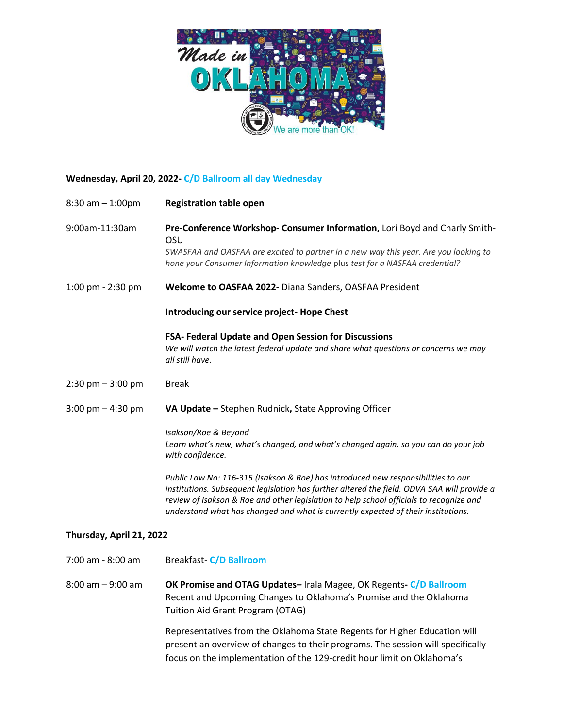

# **Wednesday, April 20, 2022- C/D Ballroom all day Wednesday**

| $8:30$ am $-1:00$ pm     | <b>Registration table open</b>                                                                                                                                                                                                                                                                                                                                   |
|--------------------------|------------------------------------------------------------------------------------------------------------------------------------------------------------------------------------------------------------------------------------------------------------------------------------------------------------------------------------------------------------------|
| 9:00am-11:30am           | Pre-Conference Workshop- Consumer Information, Lori Boyd and Charly Smith-<br>OSU                                                                                                                                                                                                                                                                                |
|                          | SWASFAA and OASFAA are excited to partner in a new way this year. Are you looking to<br>hone your Consumer Information knowledge plus test for a NASFAA credential?                                                                                                                                                                                              |
| 1:00 pm - 2:30 pm        | Welcome to OASFAA 2022- Diana Sanders, OASFAA President                                                                                                                                                                                                                                                                                                          |
|                          | Introducing our service project- Hope Chest                                                                                                                                                                                                                                                                                                                      |
|                          | FSA- Federal Update and Open Session for Discussions<br>We will watch the latest federal update and share what questions or concerns we may<br>all still have.                                                                                                                                                                                                   |
| $2:30$ pm $-3:00$ pm     | <b>Break</b>                                                                                                                                                                                                                                                                                                                                                     |
| 3:00 pm $-$ 4:30 pm      | VA Update - Stephen Rudnick, State Approving Officer                                                                                                                                                                                                                                                                                                             |
|                          | Isakson/Roe & Beyond<br>Learn what's new, what's changed, and what's changed again, so you can do your job<br>with confidence.                                                                                                                                                                                                                                   |
|                          | Public Law No: 116-315 (Isakson & Roe) has introduced new responsibilities to our<br>institutions. Subsequent legislation has further altered the field. ODVA SAA will provide a<br>review of Isakson & Roe and other legislation to help school officials to recognize and<br>understand what has changed and what is currently expected of their institutions. |
| Thursday, April 21, 2022 |                                                                                                                                                                                                                                                                                                                                                                  |
| 7:00 am - 8:00 am        | <b>Breakfast-C/D Ballroom</b>                                                                                                                                                                                                                                                                                                                                    |
| $8:00$ am $-9:00$ am     | OK Promise and OTAG Updates-Irala Magee, OK Regents-C/D Ballroom<br>Recent and Upcoming Changes to Oklahoma's Promise and the Oklahoma<br><b>Tuition Aid Grant Program (OTAG)</b>                                                                                                                                                                                |
|                          | Representatives from the Oklahoma State Regents for Higher Education will<br>present an overview of changes to their programs. The session will specifically<br>focus on the implementation of the 129-credit hour limit on Oklahoma's                                                                                                                           |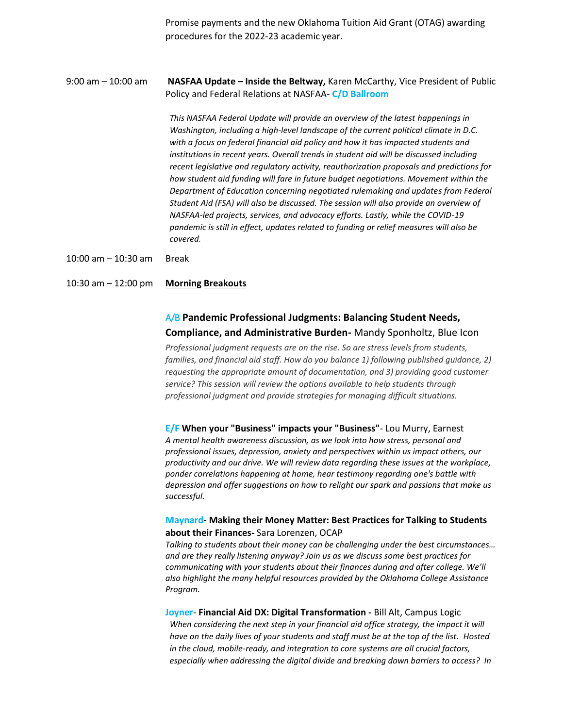Promise payments and the new Oklahoma Tuition Aid Grant (OTAG) awarding procedures for the 2022-23 academic year.

9:00 am – 10:00 am **NASFAA Update – Inside the Beltway,** Karen McCarthy, Vice President of Public Policy and Federal Relations at NASFAA- **C/D Ballroom**

> *This NASFAA Federal Update will provide an overview of the latest happenings in Washington, including a high-level landscape of the current political climate in D.C. with a focus on federal financial aid policy and how it has impacted students and institutions in recent years. Overall trends in student aid will be discussed including recent legislative and regulatory activity, reauthorization proposals and predictions for how student aid funding will fare in future budget negotiations. Movement within the Department of Education concerning negotiated rulemaking and updates from Federal Student Aid (FSA) will also be discussed. The session will also provide an overview of NASFAA-led projects, services, and advocacy efforts. Lastly, while the COVID-19 pandemic is still in effect, updates related to funding or relief measures will also be covered.*

10:00 am – 10:30 am Break

10:30 am – 12:00 pm **Morning Breakouts**

## A/B **Pandemic Professional Judgments: Balancing Student Needs, Compliance, and Administrative Burden-** Mandy Sponholtz, Blue Icon

*Professional judgment requests are on the rise. So are stress levels from students,*  families, and financial aid staff. How do you balance 1) following published guidance, 2) *requesting the appropriate amount of documentation, and 3) providing good customer service? This session will review the options available to help students through professional judgment and provide strategies for managing difficult situations.*

**E/F When your "Business" impacts your "Business"**- Lou Murry, Earnest *A mental health awareness discussion, as we look into how stress, personal and professional issues, depression, anxiety and perspectives within us impact others, our productivity and our drive. We will review data regarding these issues at the workplace, ponder correlations happening at home, hear testimony regarding one's battle with depression and offer suggestions on how to relight our spark and passions that make us successful.*

### **Maynard- Making their Money Matter: Best Practices for Talking to Students about their Finances-** Sara Lorenzen, OCAP

*Talking to students about their money can be challenging under the best circumstances… and are they really listening anyway? Join us as we discuss some best practices for communicating with your students about their finances during and after college. We'll also highlight the many helpful resources provided by the Oklahoma College Assistance Program.*

**Joyner**- **Financial Aid DX: Digital Transformation -** Bill Alt, Campus Logic *When considering the next step in your financial aid office strategy, the impact it will have on the daily lives of your students and staff must be at the top of the list. Hosted in the cloud, mobile-ready, and integration to core systems are all crucial factors, especially when addressing the digital divide and breaking down barriers to access? In*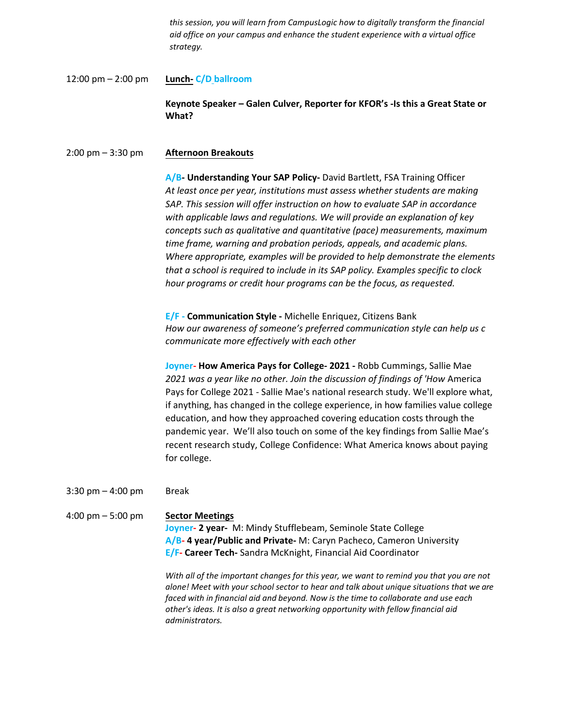*this session, you will learn from CampusLogic how to digitally transform the financial aid office on your campus and enhance the student experience with a virtual office strategy.*

12:00 pm – 2:00 pm **Lunch- C/D ballroom**

> **Keynote Speaker – Galen Culver, Reporter for KFOR's -Is this a Great State or What?**

#### 2:00 pm – 3:30 pm **Afternoon Breakouts**

**A/B- Understanding Your SAP Policy-** David Bartlett, FSA Training Officer *At least once per year, institutions must assess whether students are making SAP. This session will offer instruction on how to evaluate SAP in accordance with applicable laws and regulations. We will provide an explanation of key concepts such as qualitative and quantitative (pace) measurements, maximum time frame, warning and probation periods, appeals, and academic plans. Where appropriate, examples will be provided to help demonstrate the elements that a school is required to include in its SAP policy. Examples specific to clock hour programs or credit hour programs can be the focus, as requested.* 

**E/F - Communication Style -** Michelle Enriquez, Citizens Bank *How our awareness of someone's preferred communication style can help us c communicate more effectively with each other*

**Joyner- How America Pays for College- 2021 -** Robb Cummings, Sallie Mae *2021 was a year like no other. Join the discussion of findings of 'How* America Pays for College 2021 ‐ Sallie Mae's national research study. We'll explore what, if anything, has changed in the college experience, in how families value college education, and how they approached covering education costs through the pandemic year. We'll also touch on some of the key findings from Sallie Mae's recent research study, College Confidence: What America knows about paying for college.

3:30 pm – 4:00 pm Break

4:00 pm – 5:00 pm **Sector Meetings Joyner- 2 year-** M: Mindy Stufflebeam, Seminole State College **A/B- 4 year/Public and Private-** M: Caryn Pacheco, Cameron University **E/F- Career Tech-** Sandra McKnight, Financial Aid Coordinator

> *With all of the important changes for this year, we want to remind you that you are not alone! Meet with your school sector to hear and talk about unique situations that we are faced with in financial aid and beyond. Now is the time to collaborate and use each other's ideas. It is also a great networking opportunity with fellow financial aid administrators.*